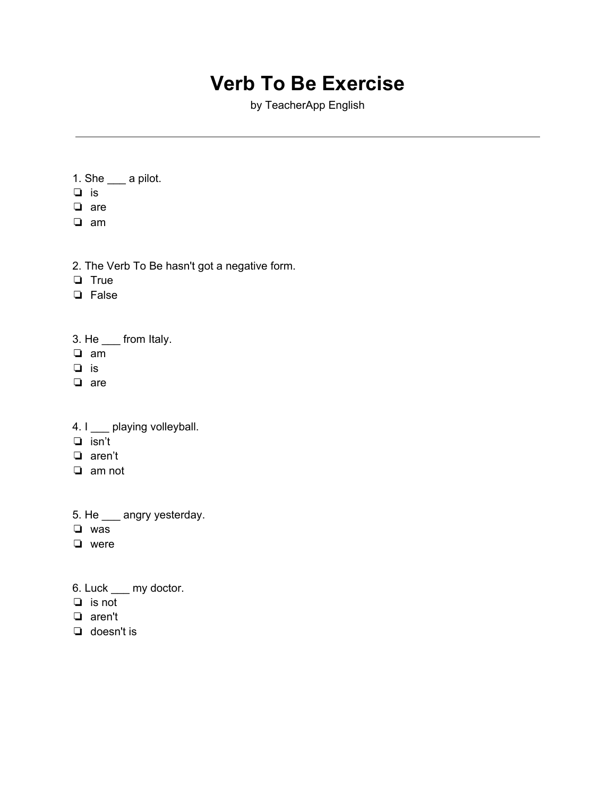## **Verb To Be Exercise**

by TeacherApp English

- 1. She \_\_\_ a pilot.
- ❏ is
- ❏ are
- ❏ am
- 2. The Verb To Be hasn't got a negative form.
- ❏ True
- ❏ False
- 3. He \_\_\_ from Italy.
- ❏ am
- ❏ is
- ❏ are
- 4. I \_\_\_ playing volleyball.
- ❏ isn't
- ❏ aren't
- ❏ am not
- 5. He \_\_\_ angry yesterday.
- ❏ was
- ❏ were
- 6. Luck \_\_\_ my doctor.
- ❏ is not
- ❏ aren't
- ❏ doesn't is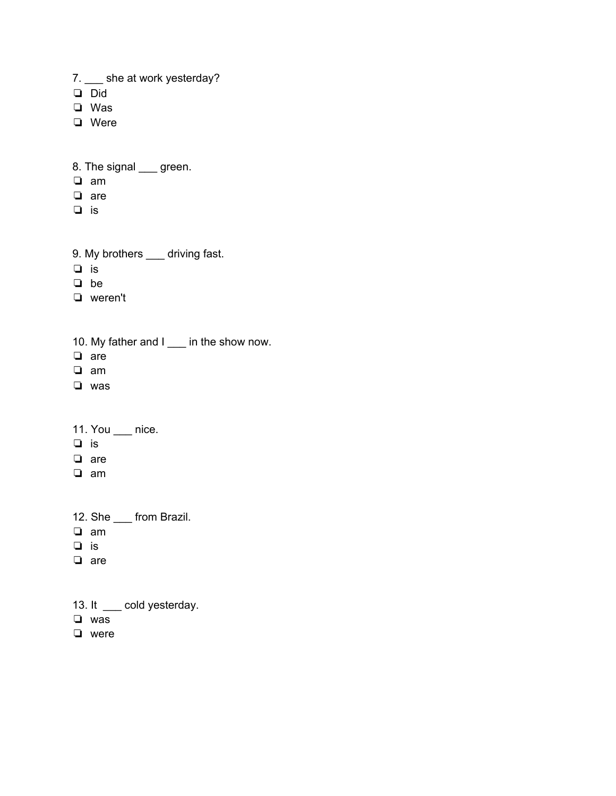7. \_\_ she at work yesterday?

- ❏ Did
- ❏ Was
- ❏ Were

8. The signal <u>yearned</u>

- ❏ am
- ❏ are
- ❏ is
- 9. My brothers \_\_\_ driving fast.
- ❏ is
- ❏ be
- ❏ weren't
- 10. My father and I \_\_\_ in the show now.
- ❏ are
- ❏ am
- ❏ was
- 11. You \_\_\_ nice.
- ❏ is
- ❏ are
- ❏ am
- 12. She \_\_\_ from Brazil.
- ❏ am
- ❏ is
- ❏ are
- 13. It \_\_\_ cold yesterday.
- ❏ was
- ❏ were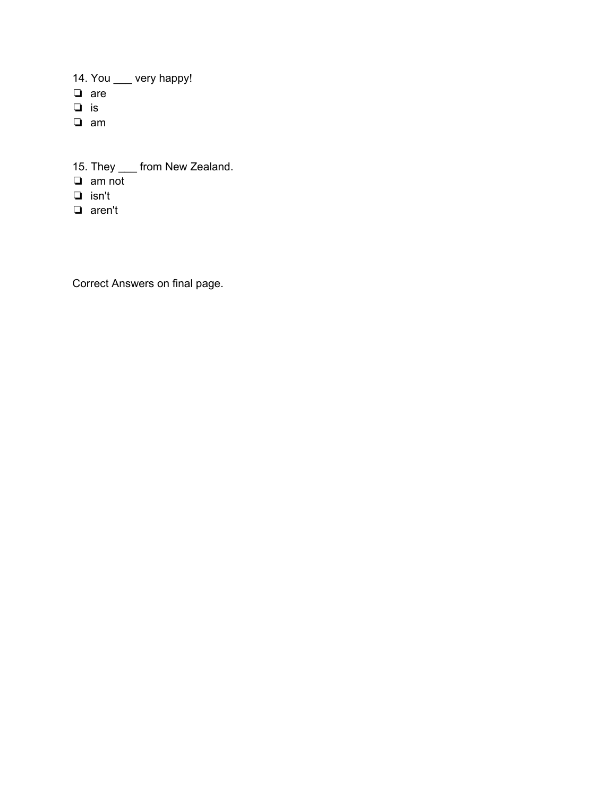14. You \_\_\_ very happy! ❏ are ❏ is ❏ am

15. They \_\_\_ from New Zealand. ❏ am not

- ❏ isn't
- ❏ aren't

Correct Answers on final page.